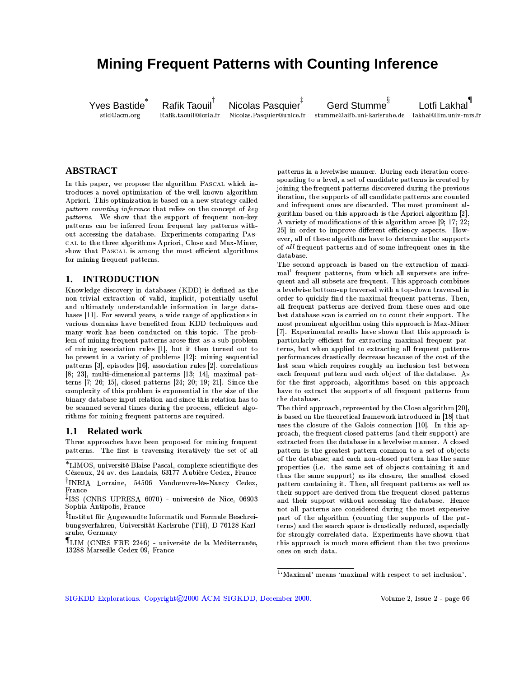# **Mining Frequent Patterns with Counting Inference**

**Yves Bastide** stid@acm.org

Rafik Taouil Rafik.taouil@loria.fr Nicolas Pasquier<sup>4</sup> Nicolas Pasquier@unice.fr

**Gerd Stumme** stumme@aifb.uni-karlsruhe.de

Lotfi Lakhal lakhal@lim.univ-mrs.fr

# **ABSTRACT**

In this paper, we propose the algorithm PASCAL which introduces a novel optimization of the well-known algorithm Apriori. This optimization is based on a new strategy called pattern counting inference that relies on the concept of key *patterns*. We show that the support of frequent non-key patterns can be inferred from frequent key patterns without accessing the database. Experiments comparing PAS-CAL to the three algorithms Apriori, Close and Max-Miner, show that PASCAL is among the most efficient algorithms for mining frequent patterns.

#### **INTRODUCTION** 1.

Knowledge discovery in databases (KDD) is defined as the non-trivial extraction of valid, implicit, potentially useful and ultimately understandable information in large databases [11]. For several years, a wide range of applications in various domains have benefited from KDD techniques and many work has been conducted on this topic. The problem of mining frequent patterns arose first as a sub-problem of mining association rules  $[1]$ , but it then turned out to be present in a variety of problems [12]: mining sequential patterns [3], episodes [16], association rules [2], correlations [8; 23], multi-dimensional patterns [13; 14], maximal patterns  $|7; 26; 15|$ , closed patterns  $|24; 20; 19; 21|$ . Since the complexity of this problem is exponential in the size of the binary database input relation and since this relation has to be scanned several times during the process, efficient algorithms for mining frequent patterns are required.

### 1.1 Related work

Three approaches have been proposed for mining frequent patterns. The first is traversing iteratively the set of all

<sup>§</sup>Institut für Angewandte Informatik und Formale Beschreibungsverfahren, Universität Karlsruhe (TH), D-76128 Karlsruhe, Germany

"LIM (CNRS FRE 2246) - université de la Méditerranée, 13288 Marseille Cedex 09, France

patterns in a levelwise manner. During each iteration corresponding to a level, a set of candidate patterns is created by joining the frequent patterns discovered during the previous iteration, the supports of all candidate patterns are counted and infrequent ones are discarded. The most prominent algorithm based on this approach is the Apriori algorithm [2]. A variety of modifications of this algorithm arose [9; 17; 22; 25] in order to improve different efficiency aspects. However, all of these algorithms have to determine the supports of all frequent patterns and of some infrequent ones in the database.

The second approach is based on the extraction of maximal<sup>1</sup> frequent patterns, from which all supersets are infrequent and all subsets are frequent. This approach combines a levelwise bottom-up traversal with a top-down traversal in order to quickly find the maximal frequent patterns. Then, all frequent patterns are derived from these ones and one last database scan is carried on to count their support. The most prominent algorithm using this approach is Max-Miner [7]. Experimental results have shown that this approach is particularly efficient for extracting maximal frequent patterns, but when applied to extracting all frequent patterns performances drastically decrease because of the cost of the last scan which requires roughly an inclusion test between each frequent pattern and each object of the database. As for the first approach, algorithms based on this approach have to extract the supports of all frequent patterns from the database.

The third approach, represented by the Close algorithm [20], is based on the theoretical framework introduced in [18] that uses the closure of the Galois connection [10]. In this approach, the frequent closed patterns (and their support) are extracted from the database in a levelwise manner. A closed pattern is the greatest pattern common to a set of objects of the database; and each non-closed pattern has the same properties (i.e. the same set of objects containing it and thus the same support) as its closure, the smallest closed pattern containing it. Then, all frequent patterns as well as their support are derived from the frequent closed patterns and their support without accessing the database. Hence not all patterns are considered during the most expensive part of the algorithm (counting the supports of the patterns) and the search space is drastically reduced, especially for strongly correlated data. Experiments have shown that this approach is much more efficient than the two previous ones on such data.

<sup>\*</sup>LIMOS, université Blaise Pascal, complexe scientifique des Cézeaux, 24 av. des Landais, 63177 Aubière Cedex, France

<sup>&</sup>lt;sup>†</sup>INRIA Lorraine, 54506 Vandœuvre-lès-Nancy Cedex, France

<sup>&</sup>lt;sup>‡</sup>I3S (CNRS UPRESA 6070) - université de Nice, 06903 Sophia Antipolis, France

<sup>&</sup>lt;sup>1</sup>'Maximal' means 'maximal with respect to set inclusion'.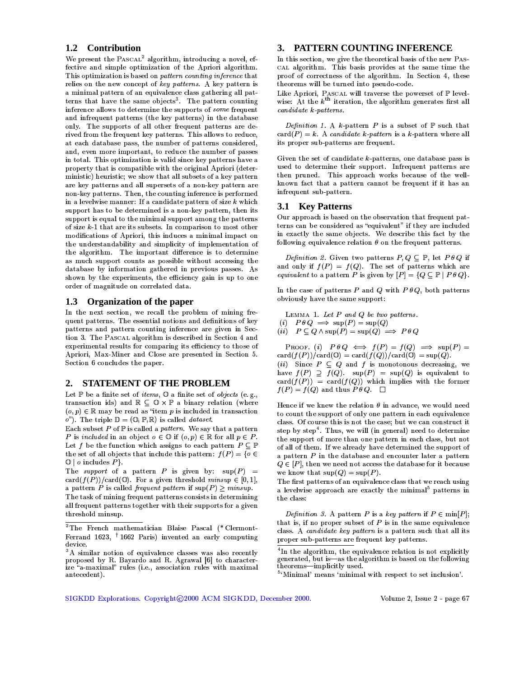# 1.2 Contribution

We present the PASCAL<sup>2</sup> algorithm, introducing a novel, effective and simple optimization of the Apriori algorithm. This optimization is based on pattern counting inference that relies on the new concept of key patterns. A key pattern is a minimal pattern of an equivalence class gathering all patterns that have the same objects<sup>3</sup>. The pattern counting inference allows to determine the supports of *some* frequent and infrequent patterns (the key patterns) in the database only. The supports of all other frequent patterns are derived from the frequent key patterns. This allows to reduce, at each database pass, the number of patterns considered, and, even more important, to reduce the number of passes in total. This optimization is valid since key patterns have a property that is compatible with the original Apriori (deterministic) heuristic; we show that all subsets of a key pattern are key patterns and all supersets of a non-key pattern are non-key patterns. Then, the counting inference is performed in a levelwise manner: If a candidate pattern of size  $k$  which support has to be determined is a non-key pattern, then its support is equal to the minimal support among the patterns of size  $k-1$  that are its subsets. In comparison to most other modifications of Apriori, this induces a minimal impact on the understandability and simplicity of implementation of the algorithm. The important difference is to determine as much support counts as possible without accessing the database by information gathered in previous passes. As shown by the experiments, the efficiency gain is up to one order of magnitude on correlated data.

### 1.3 Organization of the paper

In the next section, we recall the problem of mining frequent patterns. The essential notions and definitions of key patterns and pattern counting inference are given in Section 3. The PASCAL algorithm is described in Section 4 and experimental results for comparing its efficiency to those of Apriori, Max-Miner and Close are presented in Section 5. Section 6 concludes the paper.

#### 2. **STATEMENT OF THE PROBLEM**

Let  $\mathbb P$  be a finite set of *items*,  $\mathbb O$  a finite set of *objects* (e.g., transaction ids) and  $\mathbb{R} \subseteq \mathbb{O} \times \mathbb{P}$  a binary relation (where  $(o, p) \in \mathbb{R}$  may be read as "item p is included in transaction" o"). The triple  $\mathbb{D} = (\mathbb{O}, \mathbb{P}, \mathbb{R})$  is called *dataset*.

Each subset  $P$  of  $\mathbb P$  is called a *pattern*. We say that a pattern P is included in an object  $o \in \mathbb{O}$  if  $(o, p) \in \mathbb{R}$  for all  $p \in P$ . Let  $f$  be the function which assigns to each pattern  $P \subseteq \mathbb{P}$ the set of all objects that include this pattern:  $f(P) = \{o \in$  $\mathbb{O}$  | *o* includes *P* }

The *support* of a pattern P is given by:  $\sup(P)$  =  $card(f(P))/card(\mathbb{O})$ . For a given threshold  $minsup \in [0,1]$ , a pattern  $P$  is called frequent pattern if  $\sup(P) \geq minsup$ .

The task of mining frequent patterns consists in determining all frequent patterns together with their supports for a given threshold minsup.

## 3. PATTERN COUNTING INFERENCE

In this section, we give the theoretical basis of the new PAS-CAL algorithm. This basis provides at the same time the proof of correctness of the algorithm. In Section 4, these theorems will be turned into pseudo-code.

Like Apriori, PASCAL will traverse the powerset of  $\mathbb P$  levelwise: At the  $k^{\text{th}}$  iteration, the algorithm generates first all  $candidate\ k\ -patterns.$ 

Definition 1. A k-pattern P is a subset of  $\mathbb P$  such that  $card(P) = k$ . A *candidate* k-pattern is a k-pattern where all its proper sub-patterns are frequent.

Given the set of candidate  $k$ -patterns, one database pass is used to determine their support. Infrequent patterns are then pruned. This approach works because of the wellknown fact that a pattern cannot be frequent if it has an infrequent sub-pattern.

## 3.1 Key Patterns

Our approach is based on the observation that frequent patterns can be considered as "equivalent" if they are included in exactly the same objects. We describe this fact by the following equivalence relation  $\theta$  on the frequent patterns.

*Definition 2.* Given two patterns  $P, Q \subseteq \mathbb{P}$ , let  $P \theta Q$  if and only if  $f(P) = f(Q)$ . The set of patterns which are *equivalent* to a pattern P is given by  $[P] = \{Q \subseteq \mathbb{P} \mid P \theta Q\}.$ 

In the case of patterns  $P$  and  $Q$  with  $P \theta Q$ , both patterns obviously have the same support:

LEMMA 1. Let P and Q be two patterns.  $(i) \quad P \, \theta \, Q \implies \sup(P) = \sup(Q)$ 

(*ii*)  $P \subseteq Q \land \sup(P) = \sup(Q) \implies P \theta Q$ 

PROOF. (i)  $P \theta Q \iff f(P) = f(Q) \implies \sup(P) = \text{card}(f(P))/\text{card}(0) = \text{card}(f(Q))/\text{card}(0) = \sup(Q)$ . (ii) Since  $P \subseteq Q$  and f is monotonous decreasing, we

have  $f(P) \supseteq f(Q)$ .  $\sup(P) = \sup(Q)$  is equivalent to  $card(f(P)) = card(f(Q))$  which implies with the former  $f(P) = f(Q)$  and thus  $P \theta Q$ .  $\Box$ 

Hence if we knew the relation  $\theta$  in advance, we would need to count the support of only one pattern in each equivalence class. Of course this is not the case; but we can construct it step by  $step^4$ . Thus, we will (in general) need to determine the support of more than one pattern in each class, but not of all of them. If we already have determined the support of a pattern  $P$  in the database and encounter later a pattern  $Q \in [P]$ , then we need not access the database for it because we know that  $\sup(Q) = \sup(P)$ .

The first patterns of an equivalence class that we reach using a levelwise approach are exactly the minimal<sup>5</sup> patterns in the class:

*Definition 3.* A pattern P is a key pattern if  $P \in min[P]$ ; that is, if no proper subset of  $P$  is in the same equivalence class. A candidate key pattern is a pattern such that all its proper sub-patterns are frequent key patterns.

SIGKDD Explorations. Copyright@2000 ACM SIGKDD, December 2000.

Volume 2, Issue 2 - page 67

<sup>&</sup>lt;sup>2</sup>The French mathematician Blaise Pascal (\* Clermont-Ferrand 1623,  $\dagger$  1662 Paris) invented an early computing device

<sup>&</sup>lt;sup>3</sup>A similar notion of equivalence classes was also recently proposed by R. Bayardo and R. Agrawal [6] to characterize "a-maximal" rules (i.e., association rules with maximal antecedent).

<sup>&</sup>lt;sup>4</sup>In the algorithm, the equivalence relation is not explicitly generated, but is-as the algorithm is based on the following theorems—implicitly used.

<sup>&</sup>lt;sup>5</sup>'Minimal' means 'minimal with respect to set inclusion'.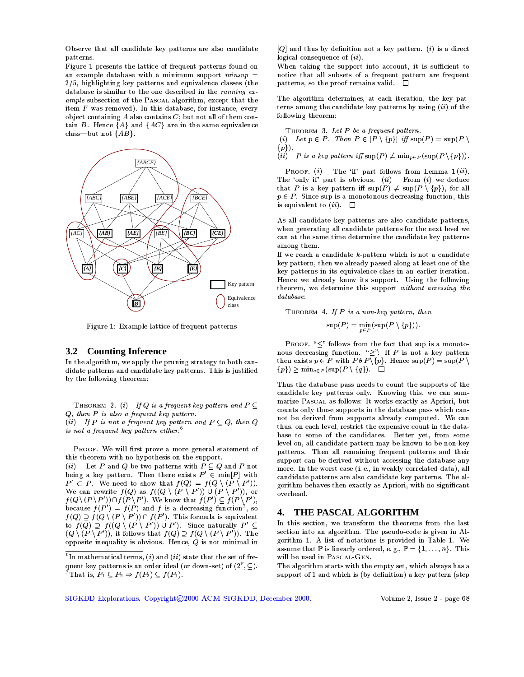Observe that all candidate key patterns are also candidate patterns.

Figure 1 presents the lattice of frequent patterns found on an example database with a minimum support  $minsup =$  $2/5$ , highlighting key patterns and equivalence classes (the database is similar to the one described in the *running ex ample* subsection of the PASCAL algorithm, except that the item  $F$  was removed). In this database, for instance, every object containing  $A$  also contains  $C$ ; but not all of them contain  $B$ . Hence  $\{A\}$  and  $\{AC\}$  are in the same equivalence class—but not  $\{AB\}$ .



Figure 1: Example lattice of frequent patterns

#### **Counting Inference**  $3.2$

In the algorithm, we apply the pruning strategy to both candidate patterns and candidate key patterns. This is justified by the following theorem:

THEOREM 2. (i) If Q is a frequent key pattern and  $P \subseteq$  $Q$ , then  $P$  is also a frequent key pattern.

(ii) If P is not a frequent key pattern and  $P \subseteq Q$ , then Q is not a frequent key pattern either.<sup>6</sup>

PROOF. We will first prove a more general statement of this theorem with no hypothesis on the support.

(*ii*) Let P and Q be two patterns with  $P \subseteq Q$  and P not being a key pattern. Then there exists  $P' \in \min[P]$  with  $P' \subset P$ . We need to show that  $f(Q) = f(Q \setminus (P \setminus P'))$ . We can rewrite  $f(Q)$  as  $f((Q \setminus (P \setminus P')) \cup (P \setminus P'))$ , or  $f(Q \setminus (P \setminus P')) \cap f(P \setminus P')$ . We know that  $f(P') \subseteq f(P \setminus P')$ , because  $f(P') = f(P)$  and f is a decreasing function<sup>7</sup>, so  $f(Q) \supseteq f(Q \setminus (P \setminus P')) \cap f(P')$ . This formula is equivalent to  $f(Q) \supseteq f((Q \setminus (P \setminus P')) \cup P')$ . Since naturally  $P' \subseteq$  $(Q \setminus (P \setminus P'))$ , it follows that  $f(Q) \supseteq f(Q \setminus (P \setminus P'))$ . The opposite inequality is obvious. Hence,  $Q$  is not minimal in

 $[Q]$  and thus by definition not a key pattern. (i) is a direct logical consequence of  $(ii)$ .

When taking the support into account, it is sufficient to notice that all subsets of a frequent pattern are frequent patterns, so the proof remains valid.  $\Box$ 

The algorithm determines, at each iteration, the key patterns among the candidate key patterns by using  $(ii)$  of the following theorem:

THEOREM 3. Let P be a frequent pattern. (i) Let  $p \in P$ . Then  $P \in [P \setminus \{p\}]$  iff  $\sup(P) = \sup(P \setminus$  $\{p\}$ )

(*ii*) P is a key pattern iff  $\sup(P) \neq \min_{p \in P} (\sup(P \setminus \{p\})).$ 

PROOF.  $(i)$  The 'if' part follows from Lemma 1(ii). The 'only if' part is obvious.  $(ii)$  From  $(i)$  we deduce that P is a key pattern iff  $\sup(P) \neq \sup(P \setminus \{p\})$ , for all  $p \in P$ . Since sup is a monotonous decreasing function, this is equivalent to  $(ii)$ .  $\Box$ 

As all candidate key patterns are also candidate patterns, when generating all candidate patterns for the next level we can at the same time determine the candidate key patterns among them.

If we reach a candidate  $k$ -pattern which is not a candidate key pattern, then we already passed along at least one of the key patterns in its equivalence class in an earlier iteration. Hence we already know its support. Using the following theorem, we determine this support without accessing the  $database$ 

THEOREM 4. If  $P$  is a non-key pattern, then

$$
\sup(P) = \min_{p \in P} (\sup(P \setminus \{p\})).
$$

PROOF. " $\leq$ " follows from the fact that sup is a monotonous decreasing function. " $\geq$ " If P is not a key pattern then exists  $p \in P$  with  $P \theta P \setminus \{p\}$ . Hence  $\sup(P) = \sup(P \setminus \{p\}) \ge \min_{q \in P} (\sup(P \setminus \{q\})$ .  $\square$ 

Thus the database pass needs to count the supports of the candidate key patterns only. Knowing this, we can summarize PASCAL as follows: It works exactly as Apriori, but counts only those supports in the database pass which cannot be derived from supports already computed. We can thus, on each level, restrict the expensive count in the database to some of the candidates. Better yet, from some level on, all candidate pattern may be known to be non-key patterns. Then all remaining frequent patterns and their support can be derived without accessing the database any more. In the worst case (i. e., in weakly correlated data), all candidate patterns are also candidate key patterns. The algorithm behaves then exactly as Apriori, with no significant overhead.

#### 4. THE PASCAL ALGORITHM

In this section, we transform the theorems from the last section into an algorithm. The pseudo-code is given in Algorithm 1. A list of notations is provided in Table 1. We assume that  $\mathbb P$  is linearly ordered, e.g.,  $\mathbb P = \{1, \ldots, n\}$ . This will be used in PASCAL-GEN.

The algorithm starts with the empty set, which always has a support of 1 and which is (by definition) a key pattern (step

 ${}^6$ In mathematical terms, (i) and (ii) state that the set of frequent key patterns is an order ideal (or down-set) of  $(2^{\mathbb{P}}, \subseteq)$ . <sup>7</sup>That is,  $P_1 \subseteq P_2 \Rightarrow f(P_2) \subseteq f(P_1)$ .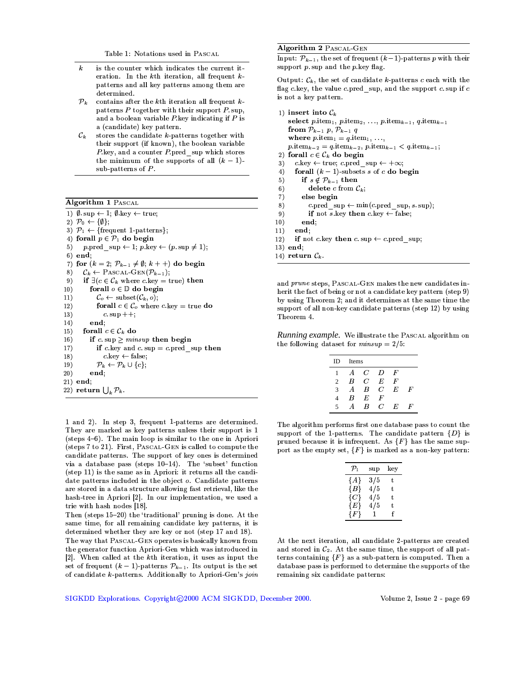Table 1: Notations used in PASCAL

- $\boldsymbol{k}$ is the counter which indicates the current iteration. In the  $k$ th iteration, all frequent  $k$ patterns and all key patterns among them are determined.
- ${\cal P}_k$ contains after the  $k$ <sup>th</sup> iteration all frequent  $k$ patterns  $P$  together with their support  $P$  sup, and a boolean variable  $P$  key indicating if  $P$  is a (candidate) key pattern.
- $\mathcal{C}_k$ stores the candidate  $k$ -patterns together with their support (if known), the boolean variable  $P$  key, and a counter  $P$  pred sup which stores the minimum of the supports of all  $(k-1)$ sub-patterns of  $P$ .

Algorithm 1 PASCAL

1)  $\emptyset$  sup  $\leftarrow$  1;  $\emptyset$  key  $\leftarrow$  true; 2)  $\mathcal{P}_0 \leftarrow {\emptyset};$  $3)$  $\mathcal{P}_1 \leftarrow \{\text{frequent 1-patters}\}.$ forall  $p \in \mathcal{P}_1$  do begin  $4)$  $p.\text{pred } \text{sup} \leftarrow 1; p.\text{key} \leftarrow (p.\text{sup} \neq 1);$  $5)$  $6)$ end; for  $(k = 2; \mathcal{P}_{k-1} \neq \emptyset; k++)$  do begin  $7)$  $\mathcal{C}_k \leftarrow$  PASCAL-GEN $(\mathcal{P}_{k-1});$  $8)$ if  $\exists (c \in \mathcal{C}_k \text{ where } c.\text{key} = \text{true})$  then  $9)$ forall  $o \in \mathbb{D}$  do begin  $10)$  $\mathcal{C}_o \leftarrow \text{subset}(\mathcal{C}_k,o)$ ;  $11)$ forall  $c \in \mathcal{C}_o$  where c key = true do 12)  $13)$  $c.$ sup + +;  $14)$ end;  $15)$ forall  $c \in \mathcal{C}_k$  do if c sup  $\geq$  minsup then begin 16) if c.key and c.sup = c.pred\_sup then 17)  $18)$  $c \text{ key} \leftarrow \text{false}$  $19)$  $\mathcal{P}_k \leftarrow \mathcal{P}_k \cup \{c\};$  $20)$ end:  $21)$  end: 22) return  $\bigcup_k \mathcal{P}_k$ .

1 and 2). In step 3, frequent 1-patterns are determined. They are marked as key patterns unless their support is 1 (steps  $4-6$ ). The main loop is similar to the one in Apriori (steps 7 to 21). First, PASCAL-GEN is called to compute the candidate patterns. The support of key ones is determined via a database pass (steps 10-14). The 'subset' function  $(\text{step } 11)$  is the same as in Apriori: it returns all the candidate patterns included in the object o. Candidate patterns are stored in a data structure allowing fast retrieval, like the hash-tree in Apriori [2]. In our implementation, we used a trie with hash nodes [18].

Then (steps 15-20) the 'traditional' pruning is done. At the same time, for all remaining candidate key patterns, it is determined whether they are key or not (step 17 and 18).

The way that PASCAL-GEN operates is basically known from the generator function Apriori-Gen which was introduced in [2]. When called at the kth iteration, it uses as input the set of frequent  $(k-1)$ -patterns  $\mathcal{P}_{k-1}$ . Its output is the set of candidate k-patterns. Additionally to Apriori-Gen's join

### Algorithm 2 PASCAL-GEN

Input:  $\mathcal{P}_{k-1}$ , the set of frequent  $(k-1)$ -patterns p with their support  $p$  sup and the  $p$  key flag.

Output:  $\mathcal{C}_k$ , the set of candidate k-patterns c each with the flag c.key, the value c.pred\_sup, and the support c.sup if c is not a key pattern.

|     | 1) insert into $\mathcal{C}_k$                                                                              |
|-----|-------------------------------------------------------------------------------------------------------------|
|     | select p.item <sub>1</sub> , p.item <sub>2</sub> , , p.item <sub>k-1</sub> , q.item <sub>k-1</sub>          |
|     | from $P_{k-1}$ p. $P_{k-1}$ q                                                                               |
|     | where $p$ item <sub>1</sub> = $q$ item <sub>1</sub> , ,                                                     |
|     | $p.\text{item}_{k-2} = q.\text{item}_{k-2}, p.\text{item}_{k-1} < q.\text{item}_{k-1};$                     |
|     | 2) forall $c \in \mathcal{C}_k$ do begin                                                                    |
| 3)  | $c \text{.} \text{key} \leftarrow \text{true}; c \text{.} \text{pred} \quad \text{sup} \leftarrow +\infty;$ |
| 4)  | for all $(k-1)$ -subsets s of c do begin                                                                    |
|     | 5)<br>if $s \notin \mathcal{P}_{k-1}$ then                                                                  |
|     | 6)<br>delete c from $\mathcal{C}_k$ ;                                                                       |
| 7)  | else begin                                                                                                  |
| 8)  | c pred $\sup \leftarrow \min(c \text{ pred } \sup s \sup s \sup)$ ;                                         |
| 9)  | if not s key then c key $\leftarrow$ false.                                                                 |
| 10) | end;                                                                                                        |
| 11) | end:                                                                                                        |
| 12) | if not c key then c sup $\leftarrow$ c pred sup.                                                            |

- 13) end;
- 14) return  $\mathcal{C}_k$ .

and prune steps, PASCAL-GEN makes the new candidates inherit the fact of being or not a candidate key pattern (step 9) by using Theorem 2; and it determines at the same time the support of all non-key candidate patterns (step 12) by using Theorem 4.

*Running example*. We illustrate the PASCAL algorithm on the following dataset for  $minsup = 2/5$ :

| ID | <b>Items</b> |   |   |   |   |
|----|--------------|---|---|---|---|
|    | А            | C | D | F |   |
| 2  | B            | C | E | F |   |
| 3  | А            | B | C | E | F |
| 4  | B            | E | F |   |   |
| 5  |              | B | C | E | F |

The algorithm performs first one database pass to count the support of the 1-patterns. The candidate pattern  $\{D\}$  is pruned because it is infrequent. As  $\{F\}$  has the same support as the empty set,  $\{F\}$  is marked as a non-key pattern:

| $\mathcal{P}_1$ | sup | key |
|-----------------|-----|-----|
| ${A}$           | 3/5 | t.  |
| ${B}$           | 4/5 | t.  |
| $\{C\}$         | 4/5 | t.  |
| ${E}$           | 4/5 | t.  |
| $\{F\}$         | 1.  | f   |

At the next iteration, all candidate 2-patterns are created and stored in  $C_2$ . At the same time, the support of all patterns containing  $\{F\}$  as a sub-pattern is computed. Then a database pass is performed to determine the supports of the remaining six candidate patterns:

SIGKDD Explorations. Copyright@2000 ACM SIGKDD, December 2000.

Volume 2, Issue 2 - page 69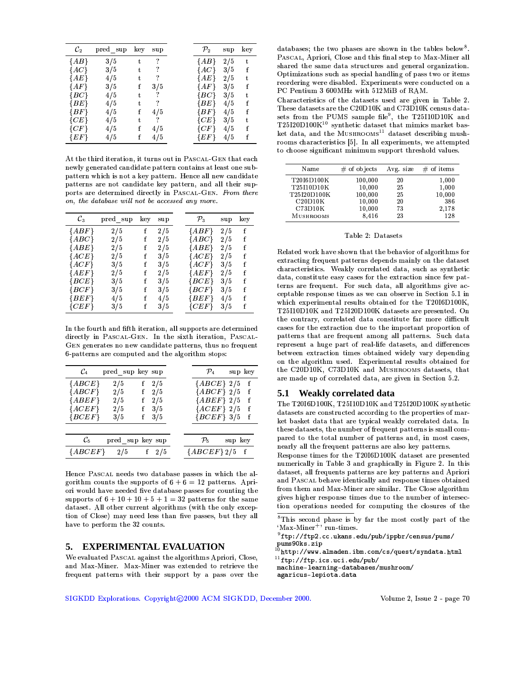| $\mathcal{C}_2$ | pred sup | key | $\sup$ | ${\cal P}_2$ | sup | key |
|-----------------|----------|-----|--------|--------------|-----|-----|
| ${AB}$          | 3/5      | t.  | ?      | AВ           | 2/5 | t.  |
| $\{AC\}$        | 3/5      | t.  | ?      | AC           | 3/5 |     |
| ${AB}$          | 4/5      | t.  | ?      | AE           | 2/5 | t.  |
| $\{AF\}$        | 3/5      | f   | 3/5    | $\{AF\}$     | 3/5 |     |
| $\{BC\}$        | 4/5      | t.  | ?      | $\{BC\}$     | 3/5 |     |
| $\{BE\}$        | 4/5      | t   | ?      | BЕ           | 4/5 |     |
| $\{BF\}$        | 4/5      | f   | 4/5    | ΒF           | 4/5 |     |
| $\{CE\}$        | 4/5      | t.  | ?      | CE           | 3/5 |     |
| $\{CF\}$        | 4/5      | f   | 4/5    | $CF$ }       | 4/5 |     |
| $\{E\,F\}$      | 4/5      |     | 4/5    | EF           | 4/5 |     |

At the third iteration, it turns out in PASCAL-GEN that each newly generated candidate pattern contains at least one subpattern which is not a key pattern. Hence all new candidate patterns are not candidate key pattern, and all their supports are determined directly in PASCAL-GEN. From there on, the database will not be accessed any more.

| $\mathcal{C}_3$ | pred sup | key | sup | $\mathcal{P}_{3-}$ | sup | key |
|-----------------|----------|-----|-----|--------------------|-----|-----|
| $\{ABF\}$       | 2/5      |     | 2/5 | ${ABF}$            | 2/5 |     |
| ${ABC}$         | 2/5      |     | 2/5 | ${ABC}$            | 2/5 |     |
| $\{ABE\}$       | 2/5      |     | 2/5 | $\{ABE\}$          | 2/5 |     |
| ${ACE}$         | 2/5      |     | 3/5 | ${ACE}$            | 2/5 |     |
| ${ACF}$         | 3/5      |     | 3/5 | ${ACF}$            | 3/5 |     |
| $\{AEF\}$       | 2/5      |     | 2/5 | $\{AEF\}$          | 2/5 |     |
| $\{BCE\}$       | 3/5      |     | 3/5 | ${BCE}$            | 3/5 |     |
| $\{BCF\}$       | 3/5      |     | 3/5 | $\{BCF\}$          | 3/5 |     |
| $\{BEF\}$       | 4/5      |     | 4/5 | $\{BEF\}$          | 4/5 |     |
| $\{CEF\}$       | 3/5      |     | 3/5 | $\{CEF\}$          | 3/5 |     |

In the fourth and fifth iteration, all supports are determined directly in PASCAL-GEN. In the sixth iteration, PASCAL-GEN generates no new candidate patterns, thus no frequent 6-patterns are computed and the algorithm stops:

| $\mathcal{C}_4$ | pred sup key sup |                  | ${\cal P}_4$    | sup key |
|-----------------|------------------|------------------|-----------------|---------|
| ${ABCE}$        | 2/5              | 2/5              | ${ABCE}$ 2/5    | f       |
| ${ABCF}$        | 2/5              | 2/5              | $\{ABCF\}$ 2/5  |         |
| ${ABEF}$        | 2/5              | 2/5              | ${ABEF}$ 2/5    |         |
| ${ACEF}$        | 2/5              | 3/5              | ${ACEF}$        | 2/5     |
| BCEF            | 3/5              | 3/5              | $\{BCEF\}$ 3/5  |         |
|                 |                  |                  |                 |         |
| $\mathcal{C}_5$ |                  | pred sup key sup | $\mathcal{P}_5$ | sup key |
| ${ \{ ABCEF\}}$ | 2/5              | 2/5              | ${ABCEF}$ 2/5   |         |

Hence PASCAL needs two database passes in which the algorithm counts the supports of  $6 + 6 = 12$  patterns. Apriori would have needed five database passes for counting the supports of  $6 + 10 + 10 + 5 + 1 = 32$  patterns for the same dataset. All other current algorithms (with the only exception of Close) may need less than five passes, but they all have to perform the 32 counts.

#### 5. **EXPERIMENTAL EVALUATION**

We evaluated PASCAL against the algorithms Apriori, Close. and Max-Miner. Max-Miner was extended to retrieve the frequent patterns with their support by a pass over the

databases; the two phases are shown in the tables below<sup>8</sup>. PASCAL, Apriori, Close and this final step to Max-Miner all shared the same data structures and general organization. Optimizations such as special handling of pass two or items reordering were disabled. Experiments were conducted on a PC Pentium 3 600MHz with 512MiB of RAM.

Characteristics of the datasets used are given in Table 2. These datasets are the C20D10K and C73D10K census datasets from the PUMS sample file<sup>9</sup>, the T25I10D10K and  $\text{T}25\text{I}20\text{D}100\text{K}^{10}$  synthetic dataset that mimics market basket data, and the MUSHROOMS<sup>11</sup> dataset describing mushrooms characteristics [5]. In all experiments, we attempted to choose significant minimum support threshold values.

| Name             | $#$ of objects | Avg size | $#$ of items |
|------------------|----------------|----------|--------------|
| T20I6D100K       | 100,000        | 20       | 1,000        |
| T25I10D10K       | 10,000         | 25       | 1,000        |
| T25I20D100K      | 100,000        | 25       | 10,000       |
| C20D10K          | 10,000         | 20       | 386          |
| C73D10K          | 10,000         | 73       | 2,178        |
| <b>MUSHROOMS</b> | 8.416          | 23       | 128          |

Table 2: Datasets

Related work have shown that the behavior of algorithms for extracting frequent patterns depends mainly on the dataset characteristics. Weakly correlated data, such as synthetic data, constitute easy cases for the extraction since few patterns are frequent. For such data, all algorithms give acceptable response times as we can observe in Section 5.1 in which experimental results obtained for the T20I6D100K. T25I10D10K and T25I20D100K datasets are presented. On the contrary, correlated data constitute far more difficult cases for the extraction due to the important proportion of patterns that are frequent among all patterns. Such data represent a huge part of real-life datasets, and differences between extraction times obtained widely vary depending on the algorithm used. Experimental results obtained for the C20D10K, C73D10K and MUSHROOMS datasets, that are made up of correlated data, are given in Section 5.2.

#### Weakly correlated data 5.1

The T20I6D100K, T25I10D10K and T25I20D100K synthetic datasets are constructed according to the properties of market basket data that are typical weakly correlated data. In these datasets, the number of frequent patterns is small compared to the total number of patterns and, in most cases, nearly all the frequent patterns are also key patterns.

Response times for the T20I6D100K dataset are presented numerically in Table 3 and graphically in Figure 2. In this dataset, all frequents patterns are key patterns and Apriori and PASCAL behave identically and response times obtained from them and Max-Miner are similar. The Close algorithm gives higher response times due to the number of intersection operations needed for computing the closures of the

http://www.almaden.ibm.com/cs/quest/syndata.html/  $^{11}$ ftp://ftp.ics.uci.edu/pub/

```
machine-learning-databases/mushroom/
```

```
agaricus-lepiota.data
```
SIGKDD Explorations. Copyright@2000 ACM SIGKDD, December 2000.

<sup>&</sup>lt;sup>8</sup>This second phase is by far the most costly part of the 'Max-Miner<sup>+,</sup> run-times.

 $^9$ ftp://ftp2.cc.ukans.edu/pub/ippbr/census/pums/ pums90ks.zip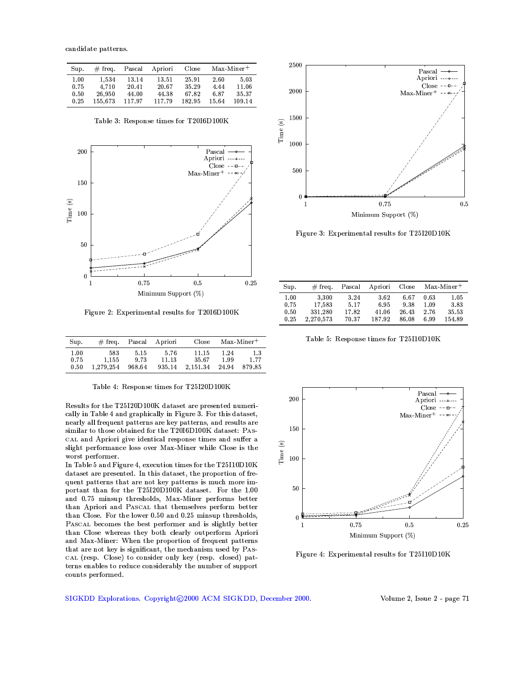candidate patterns.

| Sup.         | $\#$ freq.      | Pascal         | Apriori        | Close          |              | $Max$ -Miner <sup>+</sup> |
|--------------|-----------------|----------------|----------------|----------------|--------------|---------------------------|
| 1.00         | 1.534           | 13.14          | 13.51          | 25.91          | 2.60         | 5.03                      |
| 0.75<br>0.50 | 4.710<br>26,950 | 20.41<br>44.00 | 20.67<br>44.38 | 35.29<br>67.82 | 4.44<br>6.87 | 11.06<br>35.37            |
| 0.25         | 155.673         | 117.97         | 117.79         | 182.95         | 15.64        | 109.14                    |

Table 3: Response times for T20I6D100K



Figure 2: Experimental results for T20I6D100K

| Sup. | $\#$ freq. |        | Pascal Apriori | Close    |       | Max-Miner <sup>+</sup> |
|------|------------|--------|----------------|----------|-------|------------------------|
| 1.00 | 583        | 5.15   | 5.76           | 11.15    | 1.24  | 1.3                    |
| 0.75 | 1.155      | 9.73   | 11.13          | 35.67    | 1.99  | 1.77                   |
| 0.50 | 1,279,254  | 968.64 | 935.14         | 2.151.34 | 24.94 | 879.85                 |

Table 4: Response times for T25I20D100K

Results for the T25I20D100K dataset are presented numerically in Table 4 and graphically in Figure 3. For this dataset, nearly all frequent patterns are key patterns, and results are similar to those obtained for the T20I6D100K dataset: PAS-CAL and Apriori give identical response times and suffer a slight performance loss over Max-Miner while Close is the worst performer.

In Table 5 and Figure 4, execution times for the T25I10D10K dataset are presented. In this dataset, the proportion of frequent patterns that are not key patterns is much more important than for the T25I20D100K dataset. For the 1.00 and 0.75 minsup thresholds, Max-Miner performs better than Apriori and PASCAL that themselves perform better than Close. For the lower 0.50 and 0.25 minsup thresholds, PASCAL becomes the best performer and is slightly better than Close whereas they both clearly outperform Apriori and Max-Miner: When the proportion of frequent patterns that are not key is significant, the mechanism used by PAS-CAL (resp. Close) to consider only key (resp. closed) patterns enables to reduce considerably the number of support counts performed.



Figure 3: Experimental results for T25I20D10K

| Sup. | $#$ freq. | Pascal | Apriori | Close |      | $Max$ -Miner <sup>+</sup> |
|------|-----------|--------|---------|-------|------|---------------------------|
| 1.00 | 3.300     | 3.24   | 3.62    | 6.67  | 0.63 | 1.05                      |
| 0.75 | 17,583    | 5.17   | 6.95    | 9.38  | 1.09 | 3.83                      |
| 0.50 | 331,280   | 17.82  | 41.06   | 26.43 | 2.76 | 35.53                     |
| 0.25 | 2,270,573 | 70.37  | 187.92  | 86.08 | 699  | 154.89                    |

Table 5: Response times for T25I10D10K



Figure 4: Experimental results for T25I10D10K

SIGKDD Explorations. Copyright@2000 ACM SIGKDD, December 2000.

Volume 2, Issue 2 - page 71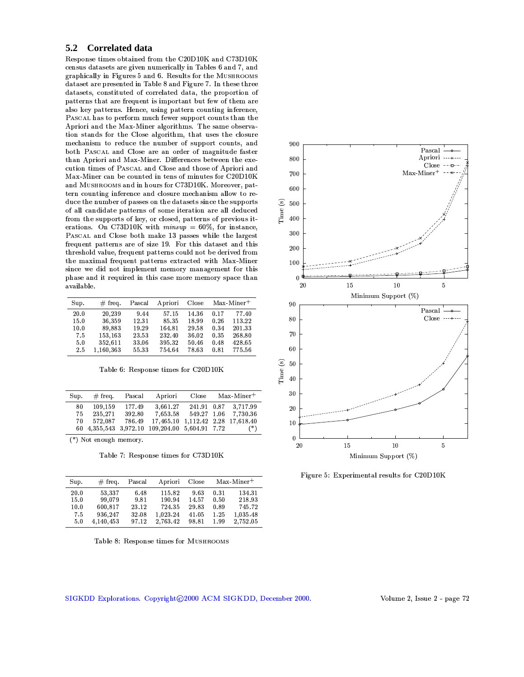#### $5.2$ **Correlated data**

Response times obtained from the C20D10K and C73D10K census datasets are given numerically in Tables 6 and 7, and graphically in Figures 5 and 6. Results for the MUSHROOMS dataset are presented in Table 8 and Figure 7. In these three datasets, constituted of correlated data, the proportion of patterns that are frequent is important but few of them are also key patterns. Hence, using pattern counting inference, PASCAL has to perform much fewer support counts than the Apriori and the Max-Miner algorithms. The same observation stands for the Close algorithm, that uses the closure mechanism to reduce the number of support counts, and both PASCAL and Close are an order of magnitude faster than Apriori and Max-Miner. Differences between the execution times of PASCAL and Close and those of Apriori and Max-Miner can be counted in tens of minutes for C20D10K and MUSHROOMS and in hours for C73D10K. Moreover, pattern counting inference and closure mechanism allow to reduce the number of passes on the datasets since the supports of all candidate patterns of some iteration are all deduced from the supports of key, or closed, patterns of previous iterations. On C73D10K with  $minsup = 60\%$ , for instance, PASCAL and Close both make 13 passes while the largest frequent patterns are of size 19. For this dataset and this threshold value, frequent patterns could not be derived from the maximal frequent patterns extracted with Max-Miner since we did not implement memory management for this phase and it required in this case more memory space than available.

| Sup. | $#$ freq. | Pascal | Apriori | Close |      | $Max$ -Miner <sup>+</sup> |
|------|-----------|--------|---------|-------|------|---------------------------|
| 20.0 | 20,239    | 9.44   | 57.15   | 14.36 | 0.17 | 77.40                     |
| 15.0 | 36,359    | 12.31  | 85.35   | 18.99 | 0.26 | 113.22                    |
| 10.0 | 89,883    | 19.29  | 164.81  | 29.58 | 0.34 | 201.33                    |
| 7.5  | 153,163   | 23.53  | 232.40  | 36.02 | 0.35 | 268.80                    |
| 5.0  | 352,611   | 33.06  | 395.32  | 50.46 | 0.48 | 428.65                    |
| 2.5  | 1,160,363 | 55.33  | 754.64  | 78.63 | 0.81 | 775.56                    |

Table 6: Response times for C20D10K

| Sup.           | $\#$ freq.                    | Pascal                     | Apriori                                                   | Close                      | $Max$ -Miner <sup>+</sup> |
|----------------|-------------------------------|----------------------------|-----------------------------------------------------------|----------------------------|---------------------------|
| 80<br>75<br>70 | 109,159<br>235,271<br>572,087 | 177.49<br>392.80<br>786.49 | 3,661.27<br>7,653.58<br>17,465.10 1,112.42 2.28 17,618.40 | 241.91 0.87<br>549.27 1.06 | 3,717.99<br>7.730.36      |
|                | 60 4.355.543                  | 3.972.10                   | 109,204.00 5,604.91 7.72                                  |                            | $(*)$                     |

(\*) Not enough memory.

Table 7: Response times for C73D10K

| Sup. | $#$ freq. | Pascal | Apriori  | Close | $Max$ -Miner <sup>+</sup> |          |
|------|-----------|--------|----------|-------|---------------------------|----------|
| 20.0 | 53,337    | 6.48   | 115.82   | 9.63  | 0.31                      | 134.31   |
| 15.0 | 99.079    | 9.81   | 190.94   | 14.57 | 0.50                      | 218.93   |
| 10.0 | 600,817   | 23.12  | 724.35   | 29.83 | 0.89                      | 745.72   |
| 7.5  | 936,247   | 32.08  | 1,023.24 | 41.05 | 1.25                      | 1,035.48 |
| 5.0  | 4,140,453 | 97.12  | 2,763.42 | 98.81 | 1.99                      | 2,752.05 |



Figure 5: Experimental results for C20D10K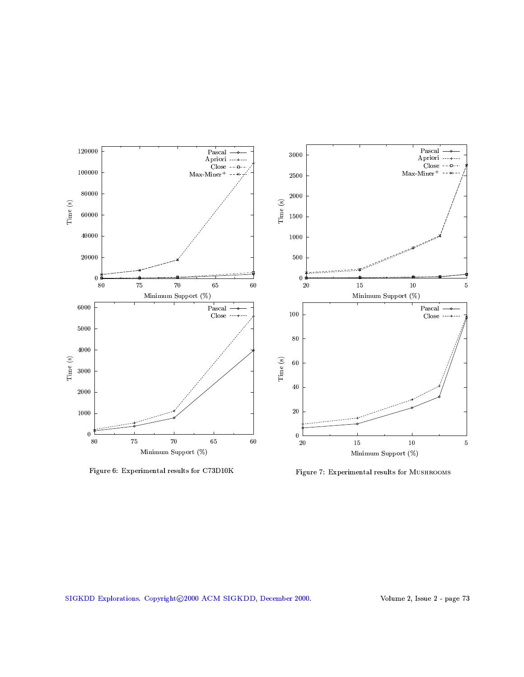

Figure 6: Experimental results for C73D10K

Figure 7: Experimental results for MUSHROOMS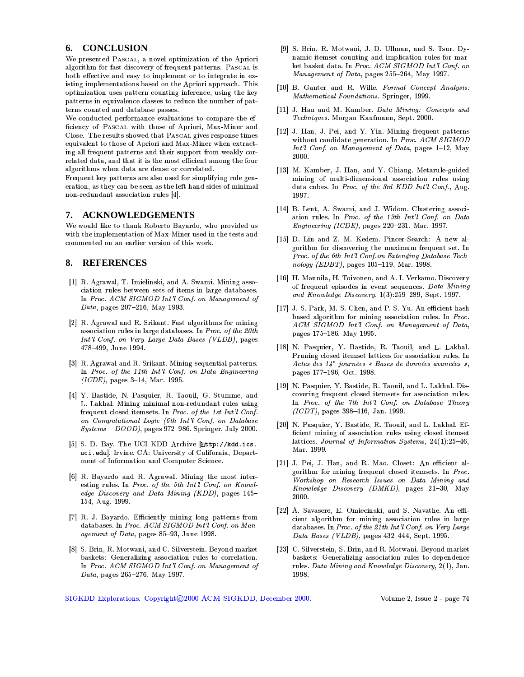#### **CONCLUSION** 6.

We presented PASCAL, a novel optimization of the Apriori algorithm for fast discovery of frequent patterns. PASCAL is both effective and easy to implement or to integrate in existing implementations based on the Apriori approach. This optimization uses pattern counting inference, using the key patterns in equivalence classes to reduce the number of patterns counted and database passes.

We conducted performance evaluations to compare the efficiency of PASCAL with those of Apriori, Max-Miner and Close. The results showed that PASCAL gives response times equivalent to those of Apriori and Max-Miner when extracting all frequent patterns and their support from weakly correlated data, and that it is the most efficient among the four algorithms when data are dense or correlated.

Frequent key patterns are also used for simplifying rule generation, as they can be seen as the left hand sides of minimal non-redundant association rules [4].

#### 7. **ACKNOWLEDGEMENTS**

We would like to thank Roberto Bayardo, who provided us with the implementation of Max-Miner used in the tests and commented on an earlier version of this work.

#### **REFERENCES** 8.

- [1] R. Agrawal, T. Imielinski, and A. Swami. Mining association rules between sets of items in large databases. In Proc. ACM SIGMOD Int'l Conf. on Management of  $Data$ , pages 207-216, May 1993.
- [2] R. Agrawal and R. Srikant. Fast algorithms for mining association rules in large databases. In Proc. of the 20th Int'l Conf. on Very Large Data Bases (VLDB), pages 478-499, June 1994.
- [3] R. Agrawal and R. Srikant. Mining sequential patterns. In Proc. of the 11th Int'l Conf. on Data Engineering  $(ICDE)$ , pages 3-14, Mar. 1995.
- [4] Y. Bastide, N. Pasquier, R. Taouil, G. Stumme, and L. Lakhal. Mining minimal non-redundant rules using frequent closed itemsets. In Proc. of the 1st Int'l Conf. on Computational Logic (6th Int'l Conf. on Database  $Systems - DOOD$ , pages 972-986. Springer, July 2000.
- [5] S. D. Bay. The UCI KDD Archive [http://kdd.ics. uci.edul. Irvine, CA: University of California, Department of Information and Computer Science.
- [6] R. Bayardo and R. Agrawal. Mining the most interesting rules. In Proc. of the 5th Int'l Conf. on Knowledge Discovery and Data Mining (KDD), pages 145-154, Aug. 1999.
- [7] R. J. Bayardo. Efficiently mining long patterns from databases. In Proc. ACM SIGMOD Int'l Conf. on Management of Data, pages 85-93, June 1998.
- [8] S. Brin, R. Motwani, and C. Silverstein. Beyond market baskets: Generalizing association rules to correlation. In Proc. ACM SIGMOD Int'l Conf. on Management of Data, pages 265-276, May 1997.
- [9] S. Brin, R. Motwani, J. D. Ullman, and S. Tsur. Dynamic itemset counting and implication rules for market basket data. In Proc. ACM SIGMOD Int'l Conf. on Management of Data, pages 255-264, May 1997.
- [10] B. Ganter and R. Wille. Formal Concept Analysis: Mathematical Foundations. Springer, 1999.
- [11] J. Han and M. Kamber. Data Mining: Concepts and Techniques. Morgan Kaufmann, Sept. 2000.
- [12] J. Han, J. Pei, and Y. Yin. Mining frequent patterns without candidate generation. In Proc. ACM SIGMOD Int'l Conf. on Management of Data, pages 1-12, May 2000.
- [13] M. Kamber, J. Han, and Y. Chiang. Metarule-guided mining of multi-dimensional association rules using data cubes. In Proc. of the 3rd KDD Int'l Conf., Aug. 1997.
- [14] B. Lent, A. Swami, and J. Widom. Clustering association rules. In Proc. of the 13th Int'l Conf. on Data Engineering (ICDE), pages 220-231, Mar. 1997.
- [15] D. Lin and Z. M. Kedem. Pincer-Search: A new algorithm for discovering the maximum frequent set. In Proc. of the 6th Int'l Conf. on Extending Database Technology (EDBT), pages  $105-119$ , Mar. 1998.
- [16] H. Mannila, H. Toivonen, and A. I. Verkamo. Discovery of frequent episodes in event sequences. Data Mining and Knowledge Discovery, 1(3):259-289, Sept. 1997.
- [17] J. S. Park, M. S. Chen, and P. S. Yu. An efficient hash based algorithm for mining association rules. In Proc. ACM SIGMOD Int'l Conf. on Management of Data, pages 175-186, May 1995.
- [18] N. Pasquier, Y. Bastide, R. Taouil, and L. Lakhal. Pruning closed itemset lattices for association rules. In Actes des  $14^e$  journées « Bases de données avancées », pages 177-196, Oct. 1998.
- [19] N. Pasquier, Y. Bastide, R. Taouil, and L. Lakhal. Discovering frequent closed itemsets for association rules. In Proc. of the 7th Int'l Conf. on Database Theory  $(ICDT)$ , pages 398-416, Jan. 1999.
- [20] N. Pasquier, Y. Bastide, R. Taouil, and L. Lakhal. Efficient mining of association rules using closed itemset lattices. Journal of Information Systems,  $24(1):25-46$ , Mar. 1999.
- [21] J. Pei, J. Han, and R. Mao. Closet: An efficient algorithm for mining frequent closed itemsets. In Proc. Workshop on Research Issues on Data Mining and Knowledge Discovery (DMKD), pages 21-30, May 2000.
- [22] A. Savasere, E. Omiecinski, and S. Navathe. An efficient algorithm for mining association rules in large databases. In Proc. of the 21th Int'l Conf. on Very Large Data Bases (VLDB), pages 432-444, Sept. 1995.
- [23] C. Silverstein, S. Brin, and R. Motwani. Beyond market baskets: Generalizing association rules to dependence rules. Data Mining and Knowledge Discovery, 2(1), Jan. 1998.

SIGKDD Explorations. Copyright@2000 ACM SIGKDD, December 2000.